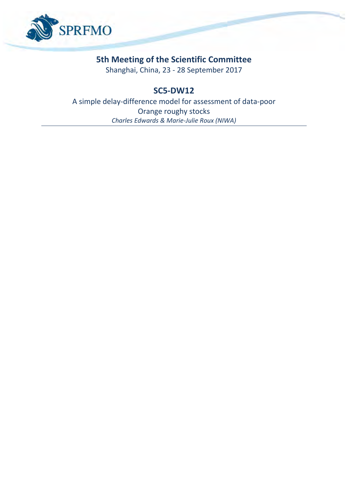

## **5th Meeting of the Scientific Committee**

Shanghai, China, 23 - 28 September 2017

## **SC5-DW12**

A simple delay-difference model for assessment of data-poor Orange roughy stocks *Charles Edwards & Marie-Julie Roux (NIWA)*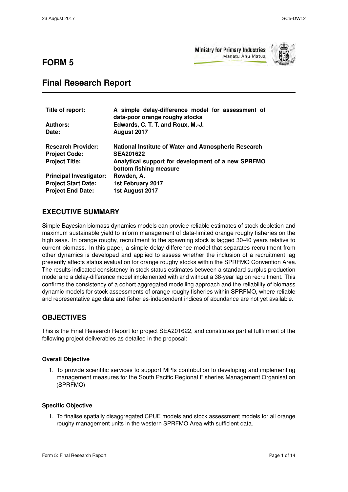**FORM 5**

**Ministry for Primary Industries** Manatū Ahu Matua



# **Final Research Report**

| Title of report:               | A simple delay-difference model for assessment of<br>data-poor orange roughy stocks |  |
|--------------------------------|-------------------------------------------------------------------------------------|--|
| <b>Authors:</b>                | Edwards, C. T. T. and Roux, M.-J.                                                   |  |
| Date:                          | August 2017                                                                         |  |
| <b>Research Provider:</b>      | National Institute of Water and Atmospheric Research                                |  |
| <b>Project Code:</b>           | <b>SEA201622</b>                                                                    |  |
| <b>Project Title:</b>          | Analytical support for development of a new SPRFMO<br>bottom fishing measure        |  |
| <b>Principal Investigator:</b> | Rowden, A.                                                                          |  |
| <b>Project Start Date:</b>     | 1st February 2017                                                                   |  |
| <b>Project End Date:</b>       | 1st August 2017                                                                     |  |

### **EXECUTIVE SUMMARY**

Simple Bayesian biomass dynamics models can provide reliable estimates of stock depletion and maximum sustainable yield to inform management of data-limited orange roughy fisheries on the high seas. In orange roughy, recruitment to the spawning stock is lagged 30-40 years relative to current biomass. In this paper, a simple delay difference model that separates recruitment from other dynamics is developed and applied to assess whether the inclusion of a recruitment lag presently affects status evaluation for orange roughy stocks within the SPRFMO Convention Area. The results indicated consistency in stock status estimates between a standard surplus production model and a delay-difference model implemented with and without a 38-year lag on recruitment. This confirms the consistency of a cohort aggregated modelling approach and the reliability of biomass dynamic models for stock assessments of orange roughy fisheries within SPRFMO, where reliable and representative age data and fisheries-independent indices of abundance are not yet available.

### **OBJECTIVES**

This is the Final Research Report for project SEA201622, and constitutes partial fullfilment of the following project deliverables as detailed in the proposal:

#### **Overall Objective**

1. To provide scientific services to support MPIs contribution to developing and implementing management measures for the South Pacific Regional Fisheries Management Organisation (SPRFMO)

#### **Specific Objective**

1. To finalise spatially disaggregated CPUE models and stock assessment models for all orange roughy management units in the western SPRFMO Area with sufficient data.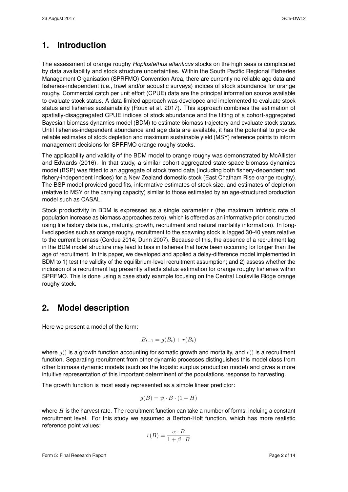## **1. Introduction**

The assessment of orange roughy *Hoplostethus atlanticus* stocks on the high seas is complicated by data availability and stock structure uncertainties. Within the South Pacific Regional Fisheries Management Organisation (SPRFMO) Convention Area, there are currently no reliable age data and fisheries-independent (i.e., trawl and/or acoustic surveys) indices of stock abundance for orange roughy. Commercial catch per unit effort (CPUE) data are the principal information source available to evaluate stock status. A data-limited approach was developed and implemented to evaluate stock status and fisheries sustainability [\(Roux et al.](#page-11-3) 2017). This approach combines the estimation of spatially-disaggregated CPUE indices of stock abundance and the fitting of a cohort-aggregated Bayesian biomass dynamics model (BDM) to estimate biomass trajectory and evaluate stock status. Until fisheries-independent abundance and age data are available, it has the potential to provide reliable estimates of stock depletion and maximum sustainable yield (MSY) reference points to inform management decisions for SPRFMO orange roughy stocks.

The applicability and validity of the BDM model to orange roughy was demonstrated by [McAllister](#page-11-2) and Edwards (2016). In that study, a similar cohort-aggregated state-space biomass dynamics model (BSP) was fitted to an aggregate of stock trend data (including both fishery-dependent and fishery-independent indices) for a New Zealand domestic stock (East Chatham Rise orange roughy). The BSP model provided good fits, informative estimates of stock size, and estimates of depletion (relative to MSY or the carrying capacity) similar to those estimated by an age-structured production model such as CASAL.

Stock productivity in BDM is expressed as a single parameter r (the maximum intrinsic rate of population increase as biomass approaches zero), which is offered as an informative prior constructed using life history data (i.e., maturity, growth, recruitment and natural mortality information). In longlived species such as orange roughy, recruitment to the spawning stock is lagged 30-40 years relative to the current biomass [\(Cordue](#page-11-0) 2014; [Dunn](#page-11-1) 2007). Because of this, the absence of a recruitment lag in the BDM model structure may lead to bias in fisheries that have been occurring for longer than the age of recruitment. In this paper, we developed and applied a delay-difference model implemented in BDM to 1) test the validity of the equilibrium-level recruitment assumption; and 2) assess whether the inclusion of a recruitment lag presently affects status estimation for orange roughy fisheries within SPRFMO. This is done using a case study example focusing on the Central Louisville Ridge orange roughy stock.

## **2. Model description**

Here we present a model of the form:

$$
B_{t+1} = g(B_t) + r(B_t)
$$

where  $q()$  is a growth function accounting for somatic growth and mortality, and  $r()$  is a recruitment function. Separating recruitment from other dynamic processes distinguishes this model class from other biomass dynamic models (such as the logistic surplus production model) and gives a more intuitive representation of this important determinent of the populations response to harvesting.

The growth function is most easily represented as a simple linear predictor:

<span id="page-2-0"></span>
$$
g(B) = \psi \cdot B \cdot (1 - H)
$$

where  $H$  is the harvest rate. The recruitment function can take a number of forms, incluing a constant recruitment level. For this study we assumed a Berton-Holt function, which has more realistic reference point values:

$$
r(B) = \frac{\alpha \cdot B}{1 + \beta \cdot B}
$$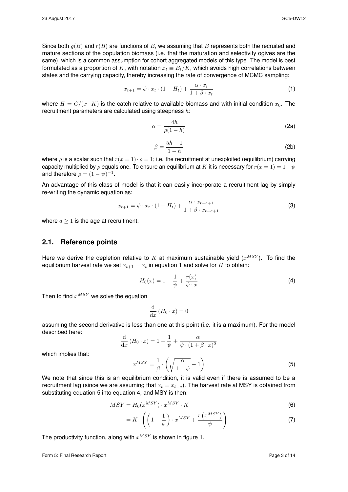Since both  $q(B)$  and  $r(B)$  are functions of B, we assuming that B represents both the recruited and mature sections of the population biomass (i.e. that the maturation and selectivity ogives are the same), which is a common assumption for cohort aggregated models of this type. The model is best formulated as a proportion of K, with notation  $x_t \equiv B_t/K$ , which avoids high correlations between

$$
x_{t+1} = \psi \cdot x_t \cdot (1 - H_t) + \frac{\alpha \cdot x_t}{1 + \beta \cdot x_t} \tag{1}
$$

where  $H = C/(x \cdot K)$  is the catch relative to available biomass and with initial condition  $x_0$ . The recruitment parameters are calculated using steepness h:

states and the carrying capacity, thereby increasing the rate of convergence of MCMC sampling:

$$
\alpha = \frac{4h}{\rho(1-h)}\tag{2a}
$$

$$
\beta = \frac{5h - 1}{1 - h} \tag{2b}
$$

where  $\rho$  is a scalar such that  $r(x = 1) \cdot \rho = 1$ ; i.e. the recruitment at unexploited (equilibrium) carrying capacity multiplied by  $\rho$  equals one. To ensure an equilibrium at K it is necessary for  $r(x = 1) = 1 - \psi$ and therefore  $\rho = (1 - \psi)^{-1}$ .

An advantage of this class of model is that it can easily incorporate a recruitment lag by simply re-writing the dynamic equation as:

<span id="page-3-2"></span>
$$
x_{t+1} = \psi \cdot x_t \cdot (1 - H_t) + \frac{\alpha \cdot x_{t-a+1}}{1 + \beta \cdot x_{t-a+1}}
$$
 (3)

where  $a > 1$  is the age at recruitment.

#### **2.1. Reference points**

Here we derive the depletion relative to K at maximum sustainable yield  $(x^{MSY})$ . To find the equilibrium harvest rate we set  $x_{t+1} = x_t$  in equation [1](#page-2-0) and solve for H to obtain:

$$
H_0(x) = 1 - \frac{1}{\psi} + \frac{r(x)}{\psi \cdot x}
$$
 (4)

Then to find  $x^{MSY}$  we solve the equation

$$
\frac{\mathrm{d}}{\mathrm{d}x} \left( H_0 \cdot x \right) = 0
$$

assuming the second derivative is less than one at this point (i.e. it is a maximum). For the model described here:

<span id="page-3-0"></span>
$$
\frac{\mathrm{d}}{\mathrm{d}x} (H_0 \cdot x) = 1 - \frac{1}{\psi} + \frac{\alpha}{\psi \cdot (1 + \beta \cdot x)^2}
$$

$$
x^{MSY} = \frac{1}{\beta} \cdot \left( \sqrt{\frac{\alpha}{1 - \psi}} - 1 \right)
$$

which implies that:

We note that since this is an equilibrium condition, it is valid even if there is assumed to be a  
recruitment lag (since we are assuming that 
$$
x_t = x_{t-a}
$$
). The harvest rate at MSY is obtained from  
substituting equation 5 into equation 4, and MSY is then:

$$
MSY = H_0(x^{MSY}) \cdot x^{MSY} \cdot K \tag{6}
$$

$$
= K \cdot \left( \left( 1 - \frac{1}{\psi} \right) \cdot x^{MSY} + \frac{r \left( x^{MSY} \right)}{\psi} \right) \tag{7}
$$

The productivity function, along with  $x^{MSY}$  is shown in figure [1.](#page-4-0)

Form 5: Final Research Report **Page 3 of 14** Page 3 of 14

<span id="page-3-1"></span>(5)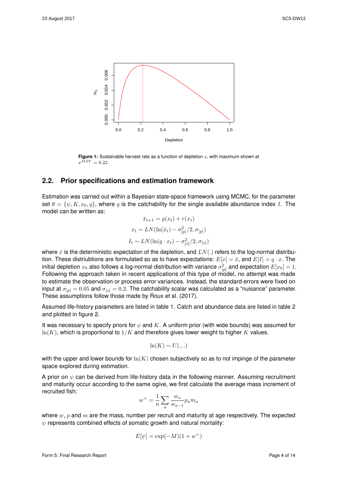<span id="page-4-0"></span>

**Figure 1:** Sustainable harvest rate as a function of depletion  $x$ , with maximum shown at  $x^{\overline{M}SY}=0.22.$ 

#### **2.2. Prior specifications and estimation framework**

Estimation was carried out within a Bayesian state-space framework using MCMC, for the parameter set  $\theta = \{\psi, K, x_0, q\}$ , where q is the catchability for the single available abundance index I. The model can be written as:

$$
\bar{x}_{t+1} = g(x_t) + r(x_t)
$$

$$
x_t \sim LN(\ln(\bar{x}_t) - \sigma_{[p]}^2 / 2, \sigma_{[p]})
$$

$$
I_t \sim LN(\ln(q \cdot x_t) - \sigma_{[o]}^2 / 2, \sigma_{[o]})
$$

where  $\bar{x}$  is the deterministic expectation of the depletion, and  $LN(.)$  refers to the log-normal distribution. These distriubtions are formulated so as to have expectations:  $E[x] = \bar{x}$ , and  $E[I] = q \cdot x$ . The initial depletion  $x_0$  also follows a log-normal distribution with variance  $\sigma^2_{[p]}$  and expectation  $E[x_0]=1.$ Following the approach taken in recent applications of this type of model, no attempt was made to estimate the observation or process error variances. Instead, the standard errors were fixed on input at  $\sigma_{[p]} = 0.05$  and  $\sigma_{[o]} = 0.2$ . The catchability scalar was calculated as a "nuisance" parameter. These assumptions follow those made by Roux et al. (2017).

Assumed life-history parameters are listed in table [1.](#page-6-0) Catch and abundance data are listed in table [2](#page-7-0) and plotted in figure [2.](#page-5-0)

It was necessary to specify priors for  $\psi$  and K. A uniform prior (with wide bounds) was assumed for  $ln(K)$ , which is proportional to  $1/K$  and therefore gives lower weight to higher K values.

$$
\ln(K) \sim U(.,.)
$$

with the upper and lower bounds for  $ln(K)$  chosen subjectively so as to not impinge of the parameter space explored during estimation.

A prior on  $\psi$  can be derived from life-history data in the following manner. Assuming recruitment and maturity occur according to the same ogive, we first calculate the average mass increment of recruited fish:

$$
w^+ = \frac{1}{n} \sum_a \frac{w_a}{w_{a-1}} p_a m_a
$$

where  $w, p$  and  $m$  are the mass, number per recruit and maturity at age respectively. The expected  $\psi$  represents combined effects of somatic growth and natural mortality:

$$
E[\psi]=\exp(-M)(1+w^+)
$$

Form 5: Final Research Report **Page 4 of 14** Page 4 of 14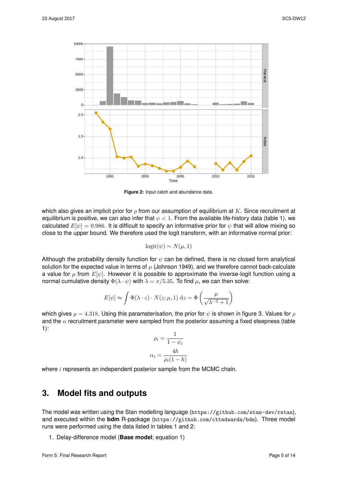<span id="page-5-0"></span>

**Figure 2:** Input catch and abundance data.

which also gives an implicit prior for  $\rho$  from our assumption of equilibrium at K. Since recruitment at equilibrium is positive, we can also infer that  $\psi < 1$ . From the available life-history data (table 1), we calculated  $E[\psi] = 0.986$ . It is difficult to specify an informative prior for  $\psi$  that will allow mixing so close to the upper bound. We therefore used the logit transform, with an informative normal prior:

$$
logit(\psi) \sim N(\mu, 1)
$$

Although the probability density function for  $\psi$  can be defined, there is no closed form analytical solution for the expected value in terms of  $\mu$  [\(Johnson](#page-11-4) 1949), and we therefore cannot back-calculate a value for  $\mu$  from  $E[\psi]$ . However it is possible to approximate the inverse-logit function using a normal cumulative density  $\Phi(\lambda \cdot \psi)$  with  $\lambda = \pi/5.35$ . To find  $\mu$ , we can then solve:

$$
E[\psi] \approx \int \Phi(\lambda \cdot z) \cdot N(z; \mu, 1) dz = \Phi\left(\frac{\mu}{\sqrt{\lambda^{-2} + 1}}\right)
$$

which gives  $\mu = 4.318$ . Using this paramaterisation, the prior for  $\psi$  is shown in figure [3.](#page-6-1) Values for  $\rho$ and the  $\alpha$  recruitment parameter were sampled from the posterior assuming a fixed steepness (table 1):

$$
\rho_i = \frac{1}{1 - \psi_i}
$$

$$
\alpha_i = \frac{4h}{\rho_i(1 - h)}
$$

where *i* represents an independent posterior sample from the MCMC chain.

### **3. Model fits and outputs**

The model was written using the Stan modelling language (<https://github.com/stan-dev/rstan>), and executed within the **bdm** R-package (<https://github.com/cttedwards/bdm>). Three model runs were performed using the data listed in tables 1 and 2:

1. Delay-difference model (**Base model**; equation 1)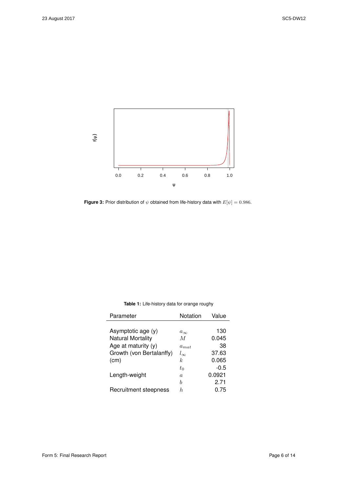<span id="page-6-1"></span>

**Figure 3:** Prior distribution of  $\psi$  obtained from life-history data with  $E[\psi] = 0.986$ .

| Parameter                | Notation       | Value  |
|--------------------------|----------------|--------|
|                          |                |        |
| Asymptotic age (y)       | $a_{\infty}$   | 130    |
| <b>Natural Mortality</b> | $\overline{M}$ | 0.045  |
| Age at maturity (y)      | $a_{mat}$      | 38     |
| Growth (von Bertalanffy) | $l_{\infty}$   | 37.63  |
| (cm)                     | k.             | 0.065  |
|                          | $t_0$          | $-0.5$ |
| Length-weight            | $\alpha$       | 0.0921 |
|                          | b              | 2.71   |
| Recruitment steepness    | h.             | 0.75   |
|                          |                |        |

<span id="page-6-0"></span>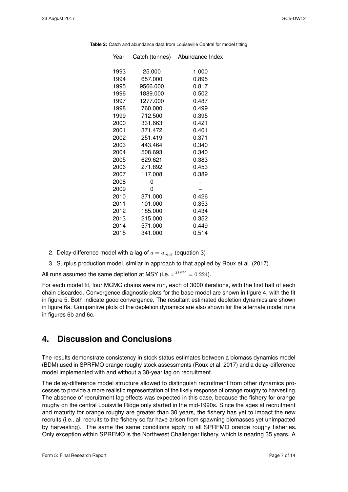| Year | Catch (tonnes) | Abundance Index |
|------|----------------|-----------------|
|      |                |                 |
| 1993 | 25.000         | 1.000           |
| 1994 | 657.000        | 0.895           |
| 1995 | 9566.000       | 0.817           |
| 1996 | 1889.000       | 0.502           |
| 1997 | 1277.000       | 0.487           |
| 1998 | 760.000        | 0.499           |
| 1999 | 712.500        | 0.395           |
| 2000 | 331.663        | 0.421           |
| 2001 | 371.472        | 0.401           |
| 2002 | 251.419        | 0.371           |
| 2003 | 443.464        | 0.340           |
| 2004 | 508.693        | 0.340           |
| 2005 | 629.621        | 0.383           |
| 2006 | 271.892        | 0.453           |
| 2007 | 117.008        | 0.389           |
| 2008 | 0              |                 |
| 2009 | 0              |                 |
| 2010 | 371.000        | 0.426           |
| 2011 | 101.000        | 0.353           |
| 2012 | 185.000        | 0.434           |
| 2013 | 215.000        | 0.352           |
| 2014 | 571.000        | 0.449           |
| 2015 | 341.000        | 0.514           |

<span id="page-7-0"></span>**Table 2:** Catch and abundance data from Louiseville Central for model fitting

- 2. Delay-difference model with a lag of  $a = a_{mat}$  (equation [3\)](#page-3-2)
- 3. Surplus production model, similar in approach to that applied by Roux et al. (2017)

All runs assumed the same depletion at MSY (i.e.  $x^{MSY} = 0.224$ ).

For each model fit, four MCMC chains were run, each of 3000 iterations, with the first half of each chain discarded. Convergence diagnostic plots for the base model are shown in figure [4,](#page-8-0) with the fit in figure [5.](#page-9-0) Both indicate good convergence. The resultant estimated depletion dynamics are shown in figure [6a.](#page-10-0) Comparitive plots of the depletion dynamics are also shown for the alternate model runs in figures 6b and 6c.

### **4. Discussion and Conclusions**

The results demonstrate consistency in stock status estimates between a biomass dynamics model (BDM) used in SPRFMO orange roughy stock assessments (Roux et al. 2017) and a delay-difference model implemented with and without a 38-year lag on recruitment.

The delay-difference model structure allowed to distinguish recruitment from other dynamics processes to provide a more realistic representation of the likely response of orange roughy to harvesting. The absence of recruitment lag effects was expected in this case, because the fishery for orange roughy on the central Louisville Ridge only started in the mid-1990s. Since the ages at recruitment and maturity for orange roughy are greater than 30 years, the fishery has yet to impact the new recruits (i.e., all recruits to the fishery so far have arisen from spawning biomasses yet unimpacted by harvesting). The same the same conditions apply to all SPRFMO orange roughy fisheries. Only exception within SPRFMO is the Northwest Challenger fishery, which is nearing 35 years. A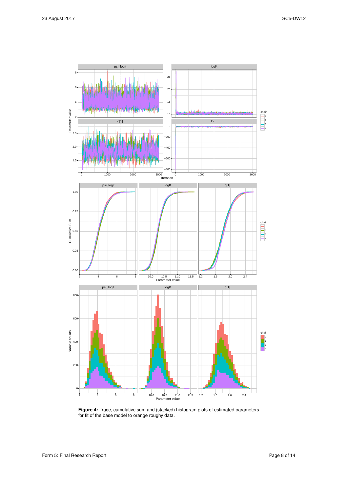<span id="page-8-0"></span>

**Figure 4:** Trace, cumulative sum and (stacked) histogram plots of estimated parameters for fit of the base model to orange roughy data.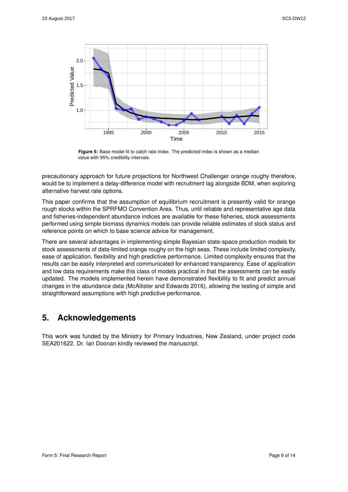<span id="page-9-0"></span>

**Figure 5:** Base model fit to catch rate index. The predicted index is shown as a median value with 95% credibility intervals.

precautionary approach for future projections for Northwest Challenger orange roughy therefore, would be to implement a delay-difference model with recruitment lag alongside BDM, when exploring alternative harvest rate options.

This paper confirms that the assumption of equilibrium recruitment is presently valid for orange rough stocks within the SPRFMO Convention Area. Thus, until reliable and representative age data and fisheries-independent abundance indices are available for these fisheries, stock assessments performed using simple biomass dynamics models can provide reliable estimates of stock status and reference points on which to base science advice for management.

There are several advantages in implementing simple Bayesian state-space production models for stock assessments of data-limited orange roughy on the high seas. These include limited complexity, ease of application, flexibility and high predictive performance. Limited complexity ensures that the results can be easily interpreted and communicated for enhanced transparency. Ease of application and low data requirements make this class of models practical in that the assessments can be easily updated. The models implemented herein have demonstrated flexibility to fit and predict annual changes in the abundance data (McAllister and Edwards 2016), allowing the testing of simple and straightforward assumptions with high predictive performance.

### **5. Acknowledgements**

This work was funded by the Ministry for Primary Industries, New Zealand, under project code SEA201622. Dr. Ian Doonan kindly reviewed the manuscript.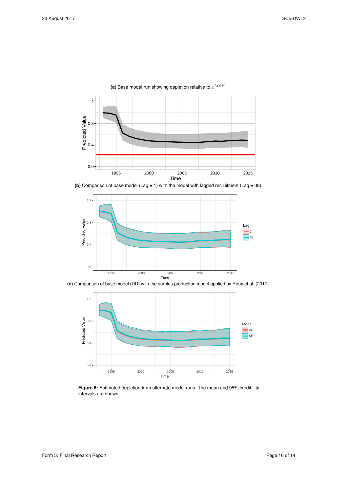<span id="page-10-0"></span>

(a) Base model run showing depletion relative to  $x^{MSY}$ .

**(b)** Comparison of base model (Lag = 1) with the model with lagged recruitment (Lag = 38).



**(c)** Comparison of base model (DD) with the surplus production model applied by Roux et al. (2017).



**Figure 6:** Estimated depletion from alternate model runs. The mean and 95% credibility intervals are shown.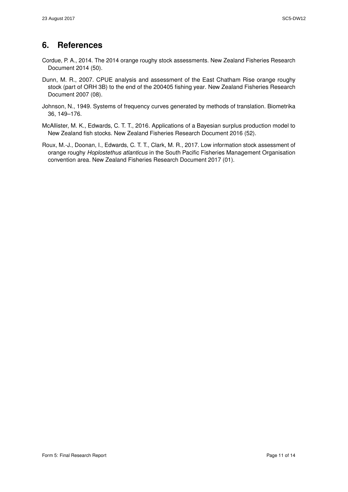## **6. References**

- <span id="page-11-0"></span>Cordue, P. A., 2014. The 2014 orange roughy stock assessments. New Zealand Fisheries Research Document 2014 (50).
- <span id="page-11-1"></span>Dunn, M. R., 2007. CPUE analysis and assessment of the East Chatham Rise orange roughy stock (part of ORH 3B) to the end of the 200405 fishing year. New Zealand Fisheries Research Document 2007 (08).
- <span id="page-11-4"></span>Johnson, N., 1949. Systems of frequency curves generated by methods of translation. Biometrika 36, 149–176.
- <span id="page-11-2"></span>McAllister, M. K., Edwards, C. T. T., 2016. Applications of a Bayesian surplus production model to New Zealand fish stocks. New Zealand Fisheries Research Document 2016 (52).
- <span id="page-11-3"></span>Roux, M.-J., Doonan, I., Edwards, C. T. T., Clark, M. R., 2017. Low information stock assessment of orange roughy *Hoplostethus atlanticus* in the South Pacific Fisheries Management Organisation convention area. New Zealand Fisheries Research Document 2017 (01).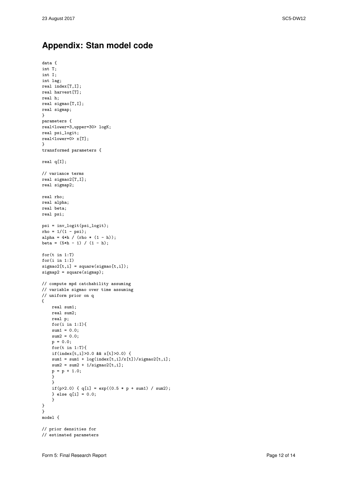data {

### **Appendix: Stan model code**

```
int T;
int I;
int lag;
real index[T,I];
real harvest[T];
real h;
real sigmao[T,I];
real sigmap;
}
parameters {
real<lower=3,upper=30> logK;
real psi_logit;
real<lower=0> x[T];
}
transformed parameters {
real q[I];
// variance terms
real sigmao2[T,I];
real sigmap2;
real rho;
real alpha;
real beta;
real psi;
psi = inv_logit(psi_logit);
rho = 1/(1 - psi);alpha = 4*h / (rho * (1 - h));beta = (5*h - 1) / (1 - h);for(t in 1:T)
for(i in 1:I)
signa o2[t,i] = square(sigma[ti,i]);signap2 = square(signap);// compute mpd catchability assuming
// variable sigmao over time assuming
// uniform prior on q
{
    real sum1;
   real sum2;
   real p;
   for(i in 1:I){
   sum1 = 0.0;
   sum2 = 0.0;
    p = 0.0;for(t in 1:T){
    if(index[t,i]>0.0 && x[t]>0.0) {
    sum1 = sum1 + log(intex[t,i]/x[t])/sigma02[t,i];sum2 = sum2 + 1/sigma2[t,i];
    p = p + 1.0;
    }
    }
    if(p>2.0) { q[i] = exp((0.5 * p + sum1) / sum2);
    } else q[i] = 0.0;
    }
}
}
model {
// prior densities for
// estimated parameters
```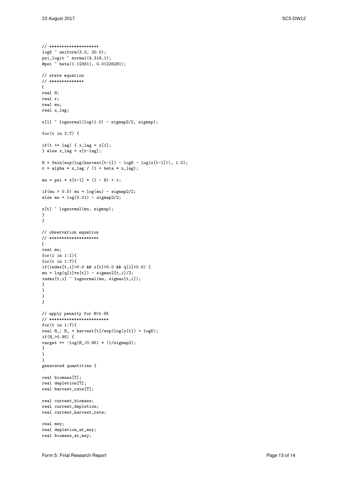```
// ********************
logK ~ uniform(3.0, 30.0);
psi_logit ~ normal(4.318,1);
#psi ~ beta(1.123611, 0.01226281);
// state equation
// **************
{
real H;
real r;
real mu;
real x_lag;
x[1] \sim lognormal(log(1.0) - sigmap2/2, sigmap);
for(t in 2:T) \{if(t \leq lag) { x_ \lag = x[1];} else x_lag = x[t-\text{lag}];
H = fmin(exp(log(harvest[t-1]) - logK - log(x[t-1])), 1.0);
r = alpha * x_lag / (1 + beta * x_lag);mu = psi * x[t-1] * (1 - H) + r;
if(mu > 0.0) mu = \log(mu) - sigmap2/2;
else mu = \log(0.01) - sigmap2/2;
x[t] \tilde{ } lognormal(mu, sigmap);
}
}
// observation equation
// ********************
{
real mu;
for(i in 1:I){
for(t in 1:T){
if(index[t,i]>0.0 && x[t]>0.0 && q[i]>0.0) {
mu = log(q[i]*x[t]) - sigmao2[t,i]/2;index[t,i] ~ lognormal(mu, sigmao[t,i]);
}
}
}
}
// apply penalty for H>0.95
// ************************
for(t in 1:T){
real H_; H_ = harvest[t]/exp(log(x[t]) + logK);
if(H_>0.95) {
target += -log(H_0.95) * (1/sigma)^2;
}
}
}
generated quantities {
real biomass[T];
real depletion[T];
real harvest rate[T];
real current_biomass;
real current_depletion;
real current_harvest_rate;
real msy;
real depletion_at_msy;
real biomass_at_msy;
```